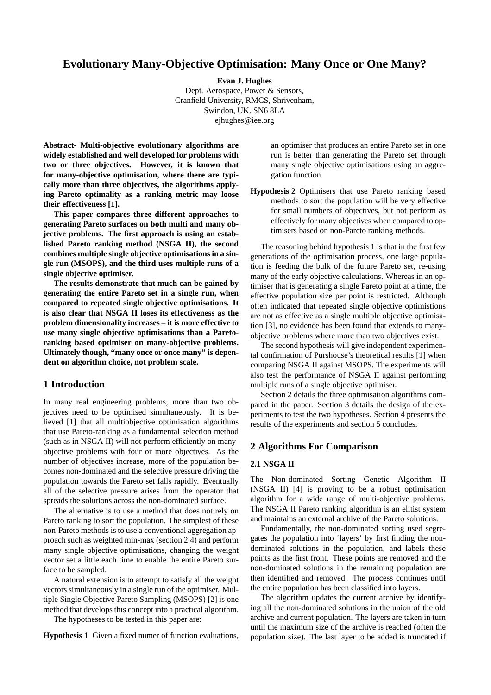# **Evolutionary Many-Objective Optimisation: Many Once or One Many?**

**Evan J. Hughes**

Dept. Aerospace, Power & Sensors, Cranfield University, RMCS, Shrivenham, Swindon, UK. SN6 8LA ejhughes@iee.org

**Abstract- Multi-objective evolutionary algorithms are widely established and well developed for problems with two or three objectives. However, it is known that for many-objective optimisation, where there are typically more than three objectives, the algorithms applying Pareto optimality as a ranking metric may loose their effectiveness [1].**

**This paper compares three different approaches to generating Pareto surfaces on both multi and many objective problems. The first approach is using an established Pareto ranking method (NSGA II), the second combines multiple single objective optimisations in a single run (MSOPS), and the third uses multiple runs of a single objective optimiser.**

**The results demonstrate that much can be gained by generating the entire Pareto set in a single run, when compared to repeated single objective optimisations. It is also clear that NSGA II loses its effectiveness as the problem dimensionality increases – it is more effective to use many single objective optimisations than a Paretoranking based optimiser on many-objective problems. Ultimately though, "many once or once many" is dependent on algorithm choice, not problem scale.**

# **1 Introduction**

In many real engineering problems, more than two objectives need to be optimised simultaneously. It is believed [1] that all multiobjective optimisation algorithms that use Pareto-ranking as a fundamental selection method (such as in NSGA II) will not perform efficiently on manyobjective problems with four or more objectives. As the number of objectives increase, more of the population becomes non-dominated and the selective pressure driving the population towards the Pareto set falls rapidly. Eventually all of the selective pressure arises from the operator that spreads the solutions across the non-dominated surface.

The alternative is to use a method that does not rely on Pareto ranking to sort the population. The simplest of these non-Pareto methods is to use a conventional aggregation approach such as weighted min-max (section 2.4) and perform many single objective optimisations, changing the weight vector set a little each time to enable the entire Pareto surface to be sampled.

A natural extension is to attempt to satisfy all the weight vectors simultaneously in a single run of the optimiser. Multiple Single Objective Pareto Sampling (MSOPS) [2] is one method that develops this concept into a practical algorithm.

The hypotheses to be tested in this paper are:

**Hypothesis 1** Given a fixed numer of function evaluations,

an optimiser that produces an entire Pareto set in one run is better than generating the Pareto set through many single objective optimisations using an aggregation function.

**Hypothesis 2** Optimisers that use Pareto ranking based methods to sort the population will be very effective for small numbers of objectives, but not perform as effectively for many objectives when compared to optimisers based on non-Pareto ranking methods.

The reasoning behind hypothesis 1 is that in the first few generations of the optimisation process, one large population is feeding the bulk of the future Pareto set, re-using many of the early objective calculations. Whereas in an optimiser that is generating a single Pareto point at a time, the effective population size per point is restricted. Although often indicated that repeated single objective optimistions are not as effective as a single multiple objective optimisation [3], no evidence has been found that extends to manyobjective problems where more than two objectives exist.

The second hypothesis will give independent experimental confirmation of Purshouse's theoretical results [1] when comparing NSGA II against MSOPS. The experiments will also test the performance of NSGA II against performing multiple runs of a single objective optimiser.

Section 2 details the three optimisation algorithms compared in the paper. Section 3 details the design of the experiments to test the two hypotheses. Section 4 presents the results of the experiments and section 5 concludes.

# **2 Algorithms For Comparison**

#### **2.1 NSGA II**

The Non-dominated Sorting Genetic Algorithm II (NSGA II) [4] is proving to be a robust optimisation algorithm for a wide range of multi-objective problems. The NSGA II Pareto ranking algorithm is an elitist system and maintains an external archive of the Pareto solutions.

Fundamentally, the non-dominated sorting used segregates the population into 'layers' by first finding the nondominated solutions in the population, and labels these points as the first front. These points are removed and the non-dominated solutions in the remaining population are then identified and removed. The process continues until the entire population has been classified into layers.

The algorithm updates the current archive by identifying all the non-dominated solutions in the union of the old archive and current population. The layers are taken in turn until the maximum size of the archive is reached (often the population size). The last layer to be added is truncated if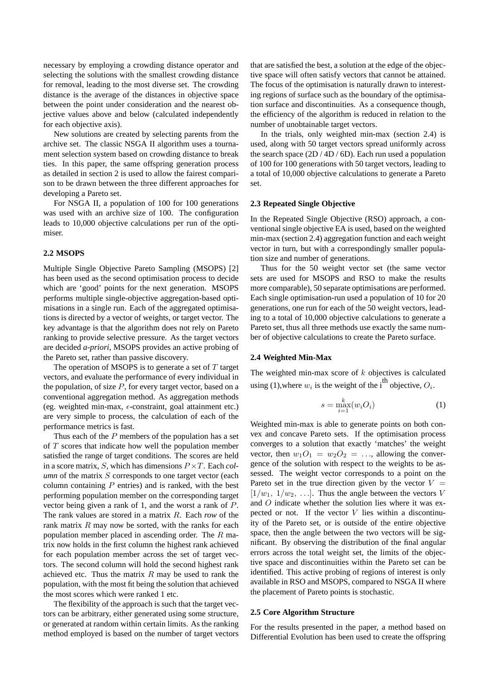necessary by employing a crowding distance operator and selecting the solutions with the smallest crowding distance for removal, leading to the most diverse set. The crowding distance is the average of the distances in objective space between the point under consideration and the nearest objective values above and below (calculated independently for each objective axis).

New solutions are created by selecting parents from the archive set. The classic NSGA II algorithm uses a tournament selection system based on crowding distance to break ties. In this paper, the same offspring generation process as detailed in section 2 is used to allow the fairest comparison to be drawn between the three different approaches for developing a Pareto set.

For NSGA II, a population of 100 for 100 generations was used with an archive size of 100. The configuration leads to 10,000 objective calculations per run of the optimiser.

### **2.2 MSOPS**

Multiple Single Objective Pareto Sampling (MSOPS) [2] has been used as the second optimisation process to decide which are 'good' points for the next generation. MSOPS performs multiple single-objective aggregation-based optimisations in a single run. Each of the aggregated optimisations is directed by a vector of weights, or target vector. The key advantage is that the algorithm does not rely on Pareto ranking to provide selective pressure. As the target vectors are decided *a-priori*, MSOPS provides an active probing of the Pareto set, rather than passive discovery.

The operation of MSOPS is to generate a set of  $T$  target vectors, and evaluate the performance of every individual in the population, of size  $P$ , for every target vector, based on a conventional aggregation method. As aggregation methods (eg. weighted min-max,  $\epsilon$ -constraint, goal attainment etc.) are very simple to process, the calculation of each of the performance metrics is fast.

Thus each of the  $P$  members of the population has a set of  $T$  scores that indicate how well the population member satisfied the range of target conditions. The scores are held in a score matrix, S, which has dimensions  $P \times T$ . Each *column* of the matrix S corresponds to one target vector (each column containing  $P$  entries) and is ranked, with the best performing population member on the corresponding target vector being given a rank of 1, and the worst a rank of P. The rank values are stored in a matrix R. Each *row* of the rank matrix  $R$  may now be sorted, with the ranks for each population member placed in ascending order. The  $R$  matrix now holds in the first column the highest rank achieved for each population member across the set of target vectors. The second column will hold the second highest rank achieved etc. Thus the matrix  $R$  may be used to rank the population, with the most fit being the solution that achieved the most scores which were ranked 1 etc.

The flexibility of the approach is such that the target vectors can be arbitrary, either generated using some structure, or generated at random within certain limits. As the ranking method employed is based on the number of target vectors

that are satisfied the best, a solution at the edge of the objective space will often satisfy vectors that cannot be attained. The focus of the optimisation is naturally drawn to interesting regions of surface such as the boundary of the optimisation surface and discontinuities. As a consequence though, the efficiency of the algorithm is reduced in relation to the number of unobtainable target vectors.

In the trials, only weighted min-max (section 2.4) is used, along with 50 target vectors spread uniformly across the search space  $(2D / 4D / 6D)$ . Each run used a population of 100 for 100 generations with 50 target vectors, leading to a total of 10,000 objective calculations to generate a Pareto set.

#### **2.3 Repeated Single Objective**

In the Repeated Single Objective (RSO) approach, a conventional single objective EA is used, based on the weighted min-max (section 2.4) aggregation function and each weight vector in turn, but with a correspondingly smaller population size and number of generations.

Thus for the 50 weight vector set (the same vector sets are used for MSOPS and RSO to make the results more comparable), 50 separate optimisations are performed. Each single optimisation-run used a population of 10 for 20 generations, one run for each of the 50 weight vectors, leading to a total of 10,000 objective calculations to generate a Pareto set, thus all three methods use exactly the same number of objective calculations to create the Pareto surface.

### **2.4 Weighted Min-Max**

The weighted min-max score of  $k$  objectives is calculated using (1), where  $w_i$  is the weight of the i<sup>th</sup> objective,  $O_i$ .

$$
s = \max_{i=1}^{k} (w_i O_i)
$$
 (1)

Weighted min-max is able to generate points on both convex and concave Pareto sets. If the optimisation process converges to a solution that exactly 'matches' the weight vector, then  $w_1O_1 = w_2O_2 = \ldots$ , allowing the convergence of the solution with respect to the weights to be assessed. The weight vector corresponds to a point on the Pareto set in the true direction given by the vector  $V =$  $[1/w_1, 1/w_2, \ldots]$ . Thus the angle between the vectors V and O indicate whether the solution lies where it was expected or not. If the vector  $V$  lies within a discontinuity of the Pareto set, or is outside of the entire objective space, then the angle between the two vectors will be significant. By observing the distribution of the final angular errors across the total weight set, the limits of the objective space and discontinuities within the Pareto set can be identified. This active probing of regions of interest is only available in RSO and MSOPS, compared to NSGA II where the placement of Pareto points is stochastic.

#### **2.5 Core Algorithm Structure**

For the results presented in the paper, a method based on Differential Evolution has been used to create the offspring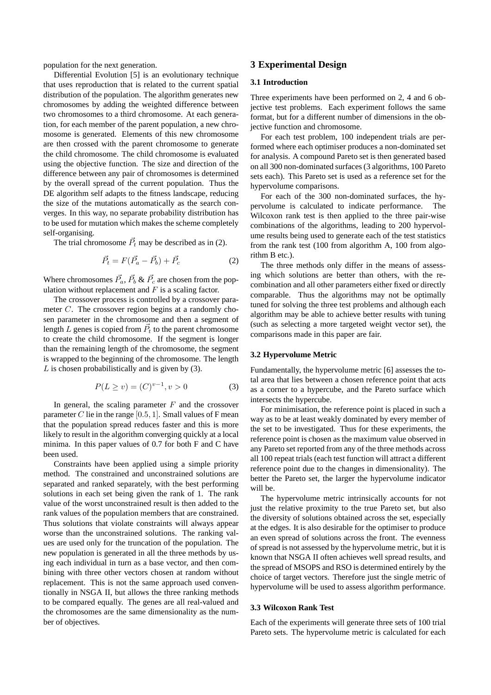population for the next generation.

Differential Evolution [5] is an evolutionary technique that uses reproduction that is related to the current spatial distribution of the population. The algorithm generates new chromosomes by adding the weighted difference between two chromosomes to a third chromosome. At each generation, for each member of the parent population, a new chromosome is generated. Elements of this new chromosome are then crossed with the parent chromosome to generate the child chromosome. The child chromosome is evaluated using the objective function. The size and direction of the difference between any pair of chromosomes is determined by the overall spread of the current population. Thus the DE algorithm self adapts to the fitness landscape, reducing the size of the mutations automatically as the search converges. In this way, no separate probability distribution has to be used for mutation which makes the scheme completely self-organising.

The trial chromosome  $\vec{P}_t$  may be described as in (2).

$$
\vec{P}_t = F(\vec{P}_a - \vec{P}_b) + \vec{P}_c
$$
 (2)

Where chromosomes  $\vec{P_a}$ ,  $\vec{P_b}$  &  $\vec{P_c}$  are chosen from the population without replacement and  $F$  is a scaling factor.

The crossover process is controlled by a crossover parameter C. The crossover region begins at a randomly chosen parameter in the chromosome and then a segment of length L genes is copied from  $\vec{P}_t$  to the parent chromosome to create the child chromosome. If the segment is longer than the remaining length of the chromosome, the segment is wrapped to the beginning of the chromosome. The length  $L$  is chosen probabilistically and is given by (3).

$$
P(L \ge v) = (C)^{v-1}, v > 0 \tag{3}
$$

In general, the scaling parameter  $F$  and the crossover parameter C lie in the range  $[0.5, 1]$ . Small values of F mean that the population spread reduces faster and this is more likely to result in the algorithm converging quickly at a local minima. In this paper values of 0.7 for both F and C have been used.

Constraints have been applied using a simple priority method. The constrained and unconstrained solutions are separated and ranked separately, with the best performing solutions in each set being given the rank of 1. The rank value of the worst unconstrained result is then added to the rank values of the population members that are constrained. Thus solutions that violate constraints will always appear worse than the unconstrained solutions. The ranking values are used only for the truncation of the population. The new population is generated in all the three methods by using each individual in turn as a base vector, and then combining with three other vectors chosen at random without replacement. This is not the same approach used conventionally in NSGA II, but allows the three ranking methods to be compared equally. The genes are all real-valued and the chromosomes are the same dimensionality as the number of objectives.

# **3 Experimental Design**

#### **3.1 Introduction**

Three experiments have been performed on 2, 4 and 6 objective test problems. Each experiment follows the same format, but for a different number of dimensions in the objective function and chromosome.

For each test problem, 100 independent trials are performed where each optimiser produces a non-dominated set for analysis. A compound Pareto set is then generated based on all 300 non-dominated surfaces (3 algorithms, 100 Pareto sets each). This Pareto set is used as a reference set for the hypervolume comparisons.

For each of the 300 non-dominated surfaces, the hypervolume is calculated to indicate performance. The Wilcoxon rank test is then applied to the three pair-wise combinations of the algorithms, leading to 200 hypervolume results being used to generate each of the test statistics from the rank test (100 from algorithm A, 100 from algorithm B etc.).

The three methods only differ in the means of assessing which solutions are better than others, with the recombination and all other parameters either fixed or directly comparable. Thus the algorithms may not be optimally tuned for solving the three test problems and although each algorithm may be able to achieve better results with tuning (such as selecting a more targeted weight vector set), the comparisons made in this paper are fair.

#### **3.2 Hypervolume Metric**

Fundamentally, the hypervolume metric [6] assesses the total area that lies between a chosen reference point that acts as a corner to a hypercube, and the Pareto surface which intersects the hypercube.

For minimisation, the reference point is placed in such a way as to be at least weakly dominated by every member of the set to be investigated. Thus for these experiments, the reference point is chosen as the maximum value observed in any Pareto set reported from any of the three methods across all 100 repeat trials (each test function will attract a different reference point due to the changes in dimensionality). The better the Pareto set, the larger the hypervolume indicator will be.

The hypervolume metric intrinsically accounts for not just the relative proximity to the true Pareto set, but also the diversity of solutions obtained across the set, especially at the edges. It is also desirable for the optimiser to produce an even spread of solutions across the front. The evenness of spread is not assessed by the hypervolume metric, but it is known that NSGA II often achieves well spread results, and the spread of MSOPS and RSO is determined entirely by the choice of target vectors. Therefore just the single metric of hypervolume will be used to assess algorithm performance.

#### **3.3 Wilcoxon Rank Test**

Each of the experiments will generate three sets of 100 trial Pareto sets. The hypervolume metric is calculated for each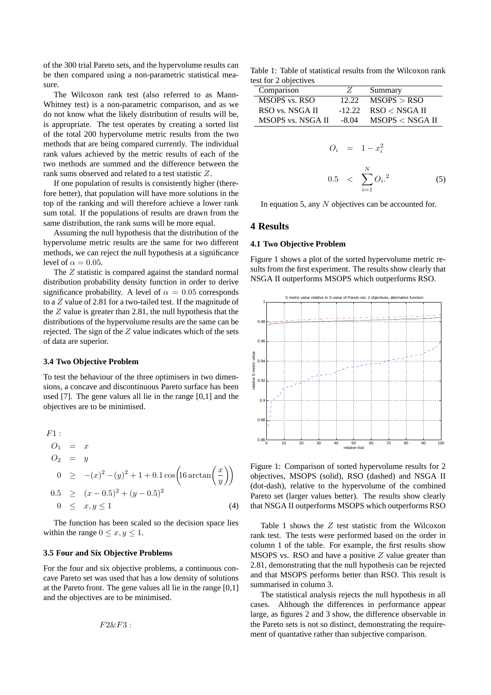of the 300 trial Pareto sets, and the hypervolume results can be then compared using a non-parametric statistical measure.

The Wilcoxon rank test (also referred to as Mann-Whitney test) is a non-parametric comparison, and as we do not know what the likely distribution of results will be, is appropriate. The test operates by creating a sorted list of the total 200 hypervolume metric results from the two methods that are being compared currently. The individual rank values achieved by the metric results of each of the two methods are summed and the difference between the rank sums observed and related to a test statistic Z.

If one population of results is consistently higher (therefore better), that population will have more solutions in the top of the ranking and will therefore achieve a lower rank sum total. If the populations of results are drawn from the same distribution, the rank sums will be more equal.

Assuming the null hypothesis that the distribution of the hypervolume metric results are the same for two different methods, we can reject the null hypothesis at a significance level of  $\alpha = 0.05$ .

The Z statistic is compared against the standard normal distribution probability density function in order to derive significance probability. A level of  $\alpha = 0.05$  corresponds to a Z value of 2.81 for a two-tailed test. If the magnitude of the  $Z$  value is greater than 2.81, the null hypothesis that the distributions of the hypervolume results are the same can be rejected. The sign of the  $Z$  value indicates which of the sets of data are superior.

#### **3.4 Two Objective Problem**

To test the behaviour of the three optimisers in two dimensions, a concave and discontinuous Pareto surface has been used [7]. The gene values all lie in the range [0,1] and the objectives are to be minimised.

F1:  
\n
$$
O_1 = x
$$
\n
$$
O_2 = y
$$
\n
$$
0 \ge -(x)^2 - (y)^2 + 1 + 0.1 \cos\left(16 \arctan\left(\frac{x}{y}\right)\right)
$$
\n
$$
0.5 \ge (x - 0.5)^2 + (y - 0.5)^2
$$
\n
$$
0 \le x, y \le 1
$$
\n(4)

The function has been scaled so the decision space lies within the range  $0 \le x, y \le 1$ .

#### **3.5 Four and Six Objective Problems**

For the four and six objective problems, a continuous concave Pareto set was used that has a low density of solutions at the Pareto front. The gene values all lie in the range [0,1] and the objectives are to be minimised.

 $F2\&F3:$ 

Table 1: Table of statistical results from the Wilcoxon rank test for 2 objectives

| Comparison        |          | Summary                       |
|-------------------|----------|-------------------------------|
| MSOPS vs. RSO     | 12.22    | MSOPS > RSO                   |
| RSO vs. NSGA II   | $-12.22$ | $\text{RSO} < \text{NSGA}$ II |
| MSOPS vs. NSGA II | -8.04    | $MSOPS < NSGA$ II             |

$$
O_i = 1 - x_i^2
$$
  
0.5  $\sum_{i=1}^{N} O_i$ .<sup>2</sup> (5)

In equation 5, any N objectives can be accounted for.

### **4 Results**

#### **4.1 Two Objective Problem**

Figure 1 shows a plot of the sorted hypervolume metric results from the first experiment. The results show clearly that NSGA II outperforms MSOPS which outperforms RSO.



Figure 1: Comparison of sorted hypervolume results for 2 objectives, MSOPS (solid), RSO (dashed) and NSGA II (dot-dash), relative to the hypervolume of the combined Pareto set (larger values better). The results show clearly that NSGA II outperforms MSOPS which outperforms RSO

Table 1 shows the  $Z$  test statistic from the Wilcoxon rank test. The tests were performed based on the order in column 1 of the table. For example, the first results show MSOPS vs. RSO and have a positive  $Z$  value greater than 2.81, demonstrating that the null hypothesis can be rejected and that MSOPS performs better than RSO. This result is summarised in column 3.

The statistical analysis rejects the null hypothesis in all cases. Although the differences in performance appear large, as figures 2 and 3 show, the difference observable in the Pareto sets is not so distinct, demonstrating the requirement of quantative rather than subjective comparison.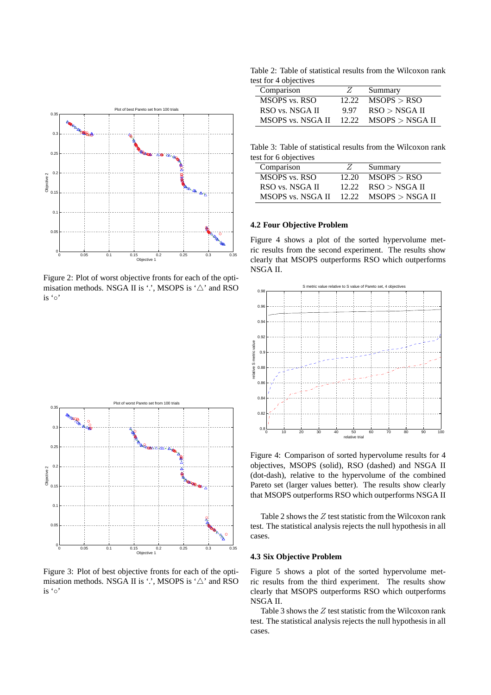

Figure 2: Plot of worst objective fronts for each of the optimisation methods. NSGA II is '.', MSOPS is ' $\triangle$ ' and RSO is '◦'



Figure 3: Plot of best objective fronts for each of the optimisation methods. NSGA II is '.', MSOPS is ' $\triangle$ ' and RSO is '◦'

Table 2: Table of statistical results from the Wilcoxon rank test for 4 objectives

| $\frac{1}{2}$     |       |                   |
|-------------------|-------|-------------------|
| Comparison        | Z     | Summary           |
| MSOPS vs. RSO     | 12.22 | MSOPS > RSO       |
| RSO vs. NSGA II   | 997   | $RSO > NSGA$ II   |
| MSOPS vs. NSGA II | 12.22 | $MSOPS > NSGA$ II |

Table 3: Table of statistical results from the Wilcoxon rank test for 6 objectives

| Comparison        |       | Summary                   |
|-------------------|-------|---------------------------|
| MSOPS vs. RSO     | 12.20 | MSOPS > RSO               |
| RSO vs. NSGA II   | 12.22 | $RSO > NSGA$ II           |
| MSOPS vs. NSGA II |       | $12.22$ MSOPS $>$ NSGA II |

# **4.2 Four Objective Problem**

Figure 4 shows a plot of the sorted hypervolume metric results from the second experiment. The results show clearly that MSOPS outperforms RSO which outperforms NSGA II.



Figure 4: Comparison of sorted hypervolume results for 4 objectives, MSOPS (solid), RSO (dashed) and NSGA II (dot-dash), relative to the hypervolume of the combined Pareto set (larger values better). The results show clearly that MSOPS outperforms RSO which outperforms NSGA II

Table 2 shows the Z test statistic from the Wilcoxon rank test. The statistical analysis rejects the null hypothesis in all cases.

# **4.3 Six Objective Problem**

Figure 5 shows a plot of the sorted hypervolume metric results from the third experiment. The results show clearly that MSOPS outperforms RSO which outperforms NSGA II.

Table 3 shows the  $Z$  test statistic from the Wilcoxon rank test. The statistical analysis rejects the null hypothesis in all cases.